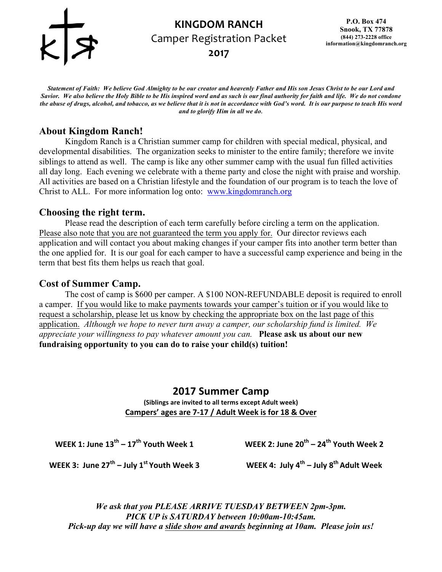

## **KINGDOM RANCH** Camper Registration Packet **2017**

*Statement of Faith: We believe God Almighty to be our creator and heavenly Father and His son Jesus Christ to be our Lord and Savior. We also believe the Holy Bible to be His inspired word and as such is our final authority for faith and life. We do not condone the abuse of drugs, alcohol, and tobacco, as we believe that it is not in accordance with God's word. It is our purpose to teach His word and to glorify Him in all we do*.

## **About Kingdom Ranch!**

Kingdom Ranch is a Christian summer camp for children with special medical, physical, and developmental disabilities. The organization seeks to minister to the entire family; therefore we invite siblings to attend as well. The camp is like any other summer camp with the usual fun filled activities all day long. Each evening we celebrate with a theme party and close the night with praise and worship. All activities are based on a Christian lifestyle and the foundation of our program is to teach the love of Christ to ALL. For more information log onto: www.kingdomranch.org

## **Choosing the right term.**

Please read the description of each term carefully before circling a term on the application. Please also note that you are not guaranteed the term you apply for. Our director reviews each application and will contact you about making changes if your camper fits into another term better than the one applied for. It is our goal for each camper to have a successful camp experience and being in the term that best fits them helps us reach that goal.

## **Cost of Summer Camp.**

The cost of camp is \$600 per camper. A \$100 NON-REFUNDABLE deposit is required to enroll a camper. If you would like to make payments towards your camper's tuition or if you would like to request a scholarship, please let us know by checking the appropriate box on the last page of this application. *Although we hope to never turn away a camper, our scholarship fund is limited. We appreciate your willingness to pay whatever amount you can.* **Please ask us about our new fundraising opportunity to you can do to raise your child(s) tuition!** 

## **2017 Summer Camp**

**(Siblings are invited to all terms except Adult week) Campers' ages are 7-17 / Adult Week is for 18 & Over** 

**WEEK 1: June 13th – 17th Youth Week 1**

**WEEK 2: June 20<sup>th</sup> – 24<sup>th</sup> Youth Week 2** 

**WEEK 3: June 27th – July 1st Youth Week 3 WEEK 4: July 4th – July 8th Adult Week**

*We ask that you PLEASE ARRIVE TUESDAY BETWEEN 2pm-3pm. PICK UP is SATURDAY between 10:00am-10:45am. Pick-up day we will have a slide show and awards beginning at 10am. Please join us!*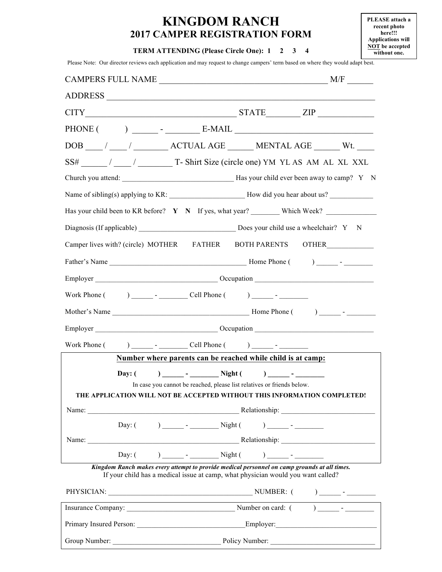## **KINGDOM RANCH 2017 CAMPER REGISTRATION FORM**

**PLEASE attach a recent photo here!!! Applications will NOT be accepted without one.**

#### **TERM ATTENDING (Please Circle One): 1 2 3 4**

Please Note: Our director reviews each application and may request to change campers' term based on where they would adapt best.

| <b>CAMPERS FULL NAME</b>                                                                                                                                                                                                                                                                                                        | M/F                                                                                                                                                                                                                                                                                                                                     |
|---------------------------------------------------------------------------------------------------------------------------------------------------------------------------------------------------------------------------------------------------------------------------------------------------------------------------------|-----------------------------------------------------------------------------------------------------------------------------------------------------------------------------------------------------------------------------------------------------------------------------------------------------------------------------------------|
| ADDRESS                                                                                                                                                                                                                                                                                                                         |                                                                                                                                                                                                                                                                                                                                         |
|                                                                                                                                                                                                                                                                                                                                 | $CITY$ $ZIP$ $ZIP$                                                                                                                                                                                                                                                                                                                      |
| PHONE (                                                                                                                                                                                                                                                                                                                         | $\left( \begin{array}{ccc} 0 & 0 & 0 \\ 0 & 0 & 0 \\ 0 & 0 & 0 \\ 0 & 0 & 0 \\ 0 & 0 & 0 \\ 0 & 0 & 0 \\ 0 & 0 & 0 \\ 0 & 0 & 0 \\ 0 & 0 & 0 \\ 0 & 0 & 0 \\ 0 & 0 & 0 \\ 0 & 0 & 0 \\ 0 & 0 & 0 \\ 0 & 0 & 0 & 0 \\ 0 & 0 & 0 & 0 \\ 0 & 0 & 0 & 0 \\ 0 & 0 & 0 & 0 \\ 0 & 0 & 0 & 0 & 0 \\ 0 & 0 & 0 & 0 & 0 \\ 0 & 0 & 0 & 0 & 0 \\$ |
|                                                                                                                                                                                                                                                                                                                                 |                                                                                                                                                                                                                                                                                                                                         |
|                                                                                                                                                                                                                                                                                                                                 | SS# ________ / ______ / _______________ T- Shirt Size (circle one) YM YL AS AM AL XL XXL                                                                                                                                                                                                                                                |
|                                                                                                                                                                                                                                                                                                                                 |                                                                                                                                                                                                                                                                                                                                         |
|                                                                                                                                                                                                                                                                                                                                 |                                                                                                                                                                                                                                                                                                                                         |
|                                                                                                                                                                                                                                                                                                                                 | Has your child been to KR before? $Y \times N$ If yes, what year? Which Week?                                                                                                                                                                                                                                                           |
|                                                                                                                                                                                                                                                                                                                                 |                                                                                                                                                                                                                                                                                                                                         |
|                                                                                                                                                                                                                                                                                                                                 | Camper lives with? (circle) MOTHER FATHER BOTH PARENTS OTHER                                                                                                                                                                                                                                                                            |
|                                                                                                                                                                                                                                                                                                                                 |                                                                                                                                                                                                                                                                                                                                         |
|                                                                                                                                                                                                                                                                                                                                 |                                                                                                                                                                                                                                                                                                                                         |
| Work Phone $($ $)$ $)$ $\qquad$ $\qquad$ $\qquad$ $\qquad$ $\qquad$ $\qquad$ $\qquad$ $\qquad$ $\qquad$ $\qquad$ $\qquad$ $\qquad$ $\qquad$ $\qquad$ $\qquad$ $\qquad$ $\qquad$ $\qquad$ $\qquad$ $\qquad$ $\qquad$ $\qquad$ $\qquad$ $\qquad$ $\qquad$ $\qquad$ $\qquad$ $\qquad$ $\qquad$ $\qquad$ $\qquad$ $\qquad$ $\qquad$ |                                                                                                                                                                                                                                                                                                                                         |
|                                                                                                                                                                                                                                                                                                                                 |                                                                                                                                                                                                                                                                                                                                         |
|                                                                                                                                                                                                                                                                                                                                 |                                                                                                                                                                                                                                                                                                                                         |
| Work Phone (                                                                                                                                                                                                                                                                                                                    |                                                                                                                                                                                                                                                                                                                                         |
|                                                                                                                                                                                                                                                                                                                                 | Number where parents can be reached while child is at camp:                                                                                                                                                                                                                                                                             |
| Day: $($                                                                                                                                                                                                                                                                                                                        | In case you cannot be reached, please list relatives or friends below.<br>THE APPLICATION WILL NOT BE ACCEPTED WITHOUT THIS INFORMATION COMPLETED!                                                                                                                                                                                      |
|                                                                                                                                                                                                                                                                                                                                 |                                                                                                                                                                                                                                                                                                                                         |
|                                                                                                                                                                                                                                                                                                                                 |                                                                                                                                                                                                                                                                                                                                         |
|                                                                                                                                                                                                                                                                                                                                 |                                                                                                                                                                                                                                                                                                                                         |
|                                                                                                                                                                                                                                                                                                                                 |                                                                                                                                                                                                                                                                                                                                         |
|                                                                                                                                                                                                                                                                                                                                 | Kingdom Ranch makes every attempt to provide medical personnel on camp grounds at all times.<br>If your child has a medical issue at camp, what physician would you want called?                                                                                                                                                        |
|                                                                                                                                                                                                                                                                                                                                 |                                                                                                                                                                                                                                                                                                                                         |
|                                                                                                                                                                                                                                                                                                                                 |                                                                                                                                                                                                                                                                                                                                         |
|                                                                                                                                                                                                                                                                                                                                 |                                                                                                                                                                                                                                                                                                                                         |
| Group Number:                                                                                                                                                                                                                                                                                                                   | Policy Number:                                                                                                                                                                                                                                                                                                                          |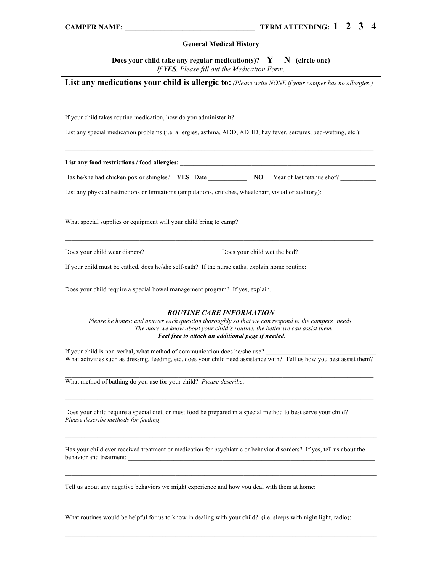#### **General Medical History**

**Does your child take any regular medication(s)?** Y N (circle one) *If YES, Please fill out the Medication Form.* 

| List any medications your child is allergic to: (Please write NONE if your camper has no allergies.)                                                                                                                                                                      |
|---------------------------------------------------------------------------------------------------------------------------------------------------------------------------------------------------------------------------------------------------------------------------|
| If your child takes routine medication, how do you administer it?                                                                                                                                                                                                         |
| List any special medication problems (i.e. allergies, asthma, ADD, ADHD, hay fever, seizures, bed-wetting, etc.):                                                                                                                                                         |
|                                                                                                                                                                                                                                                                           |
| Has he/she had chicken pox or shingles? <b>YES</b> Date <b>NO</b> Year of last tetanus shot?                                                                                                                                                                              |
| List any physical restrictions or limitations (amputations, crutches, wheelchair, visual or auditory):                                                                                                                                                                    |
| What special supplies or equipment will your child bring to camp?                                                                                                                                                                                                         |
|                                                                                                                                                                                                                                                                           |
| If your child must be cathed, does he/she self-cath? If the nurse caths, explain home routine:                                                                                                                                                                            |
| Does your child require a special bowel management program? If yes, explain.                                                                                                                                                                                              |
| <b>ROUTINE CARE INFORMATION</b><br>Please be honest and answer each question thoroughly so that we can respond to the campers' needs.<br>The more we know about your child's routine, the better we can assist them.<br>Feel free to attach an additional page if needed. |
| If your child is non-verbal, what method of communication does he/she use?<br>What activities such as dressing, feeding, etc. does your child need assistance with? Tell us how you best assist them?                                                                     |
| What method of bathing do you use for your child? Please describe.                                                                                                                                                                                                        |
| Does your child require a special diet, or must food be prepared in a special method to best serve your child?                                                                                                                                                            |
| Has your child ever received treatment or medication for psychiatric or behavior disorders? If yes, tell us about the<br>behavior and treatment:<br>the contract of the contract of the contract of the contract of the contract of                                       |
| Tell us about any negative behaviors we might experience and how you deal with them at home:                                                                                                                                                                              |
| What routines would be helpful for us to know in dealing with your child? (i.e. sleeps with night light, radio):                                                                                                                                                          |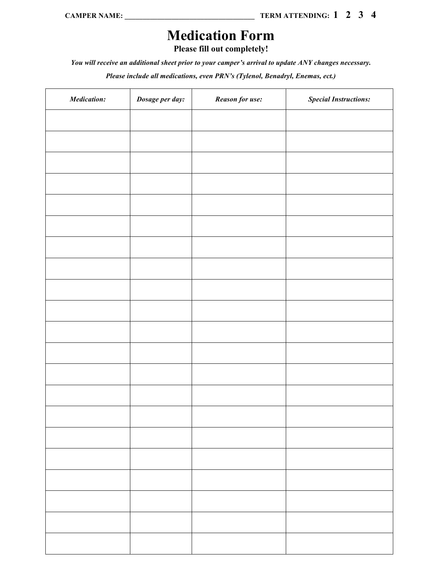# **Medication Form**

**Please fill out completely!**

*You will receive an additional sheet prior to your camper's arrival to update ANY changes necessary.*

*Please include all medications, even PRN's (Tylenol, Benadryl, Enemas, ect.)*

| <b>Medication:</b> | Dosage per day: | Reason for use: | <b>Special Instructions:</b> |
|--------------------|-----------------|-----------------|------------------------------|
|                    |                 |                 |                              |
|                    |                 |                 |                              |
|                    |                 |                 |                              |
|                    |                 |                 |                              |
|                    |                 |                 |                              |
|                    |                 |                 |                              |
|                    |                 |                 |                              |
|                    |                 |                 |                              |
|                    |                 |                 |                              |
|                    |                 |                 |                              |
|                    |                 |                 |                              |
|                    |                 |                 |                              |
|                    |                 |                 |                              |
|                    |                 |                 |                              |
|                    |                 |                 |                              |
|                    |                 |                 |                              |
|                    |                 |                 |                              |
|                    |                 |                 |                              |
|                    |                 |                 |                              |
|                    |                 |                 |                              |
|                    |                 |                 |                              |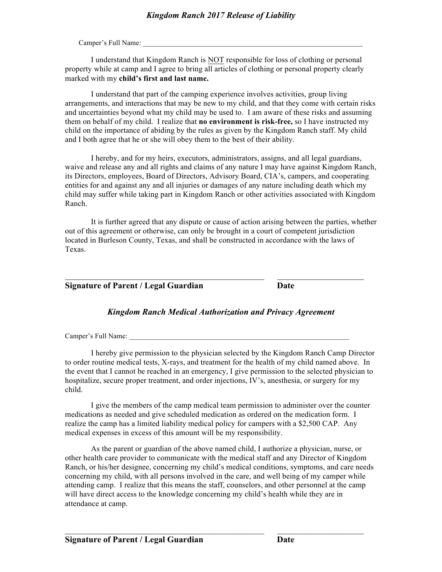Camper's Full Name:

I understand that Kingdom Ranch is NOT responsible for loss of clothing or personal property while at camp and I agree to bring all articles of clothing or personal property clearly marked with my **child's first and last name.** 

I understand that part of the camping experience involves activities, group living arrangements, and interactions that may be new to my child, and that they come with certain risks and uncertainties beyond what my child may be used to. I am aware of these risks and assuming them on behalf of my child. I realize that **no environment is risk-free,** so I have instructed my child on the importance of abiding by the rules as given by the Kingdom Ranch staff. My child and I both agree that he or she will obey them to the best of their ability.

I hereby, and for my heirs, executors, administrators, assigns, and all legal guardians, waive and release any and all rights and claims of any nature I may have against Kingdom Ranch, its Directors, employees, Board of Directors, Advisory Board, CIA's, campers, and cooperating entities for and against any and all injuries or damages of any nature including death which my child may suffer while taking part in Kingdom Ranch or other activities associated with Kingdom Ranch.

It is further agreed that any dispute or cause of action arising between the parties, whether out of this agreement or otherwise, can only be brought in a court of competent jurisdiction located in Burleson County, Texas, and shall be constructed in accordance with the laws of Texas.

## **Signature of Parent / Legal Guardian Date**

#### *Kingdom Ranch Medical Authorization and Privacy Agreement*

 $\_$  , and the set of the set of the set of the set of the set of the set of the set of the set of the set of the set of the set of the set of the set of the set of the set of the set of the set of the set of the set of th

Camper's Full Name:

I hereby give permission to the physician selected by the Kingdom Ranch Camp Director to order routine medical tests, X-rays, and treatment for the health of my child named above. In the event that I cannot be reached in an emergency, I give permission to the selected physician to hospitalize, secure proper treatment, and order injections, IV's, anesthesia, or surgery for my child.

I give the members of the camp medical team permission to administer over the counter medications as needed and give scheduled medication as ordered on the medication form. I realize the camp has a limited liability medical policy for campers with a \$2,500 CAP. Any medical expenses in excess of this amount will be my responsibility.

As the parent or guardian of the above named child, I authorize a physician, nurse, or other health care provider to communicate with the medical staff and any Director of Kingdom Ranch, or his/her designee, concerning my child's medical conditions, symptoms, and care needs concerning my child, with all persons involved in the care, and well being of my camper while attending camp. I realize that this means the staff, counselors, and other personnel at the camp will have direct access to the knowledge concerning my child's health while they are in attendance at camp.

 $\mathcal{L}_\text{max} = \mathcal{L}_\text{max} = \mathcal{L}_\text{max} = \mathcal{L}_\text{max} = \mathcal{L}_\text{max} = \mathcal{L}_\text{max} = \mathcal{L}_\text{max} = \mathcal{L}_\text{max} = \mathcal{L}_\text{max} = \mathcal{L}_\text{max} = \mathcal{L}_\text{max} = \mathcal{L}_\text{max} = \mathcal{L}_\text{max} = \mathcal{L}_\text{max} = \mathcal{L}_\text{max} = \mathcal{L}_\text{max} = \mathcal{L}_\text{max} = \mathcal{L}_\text{max} = \mathcal{$